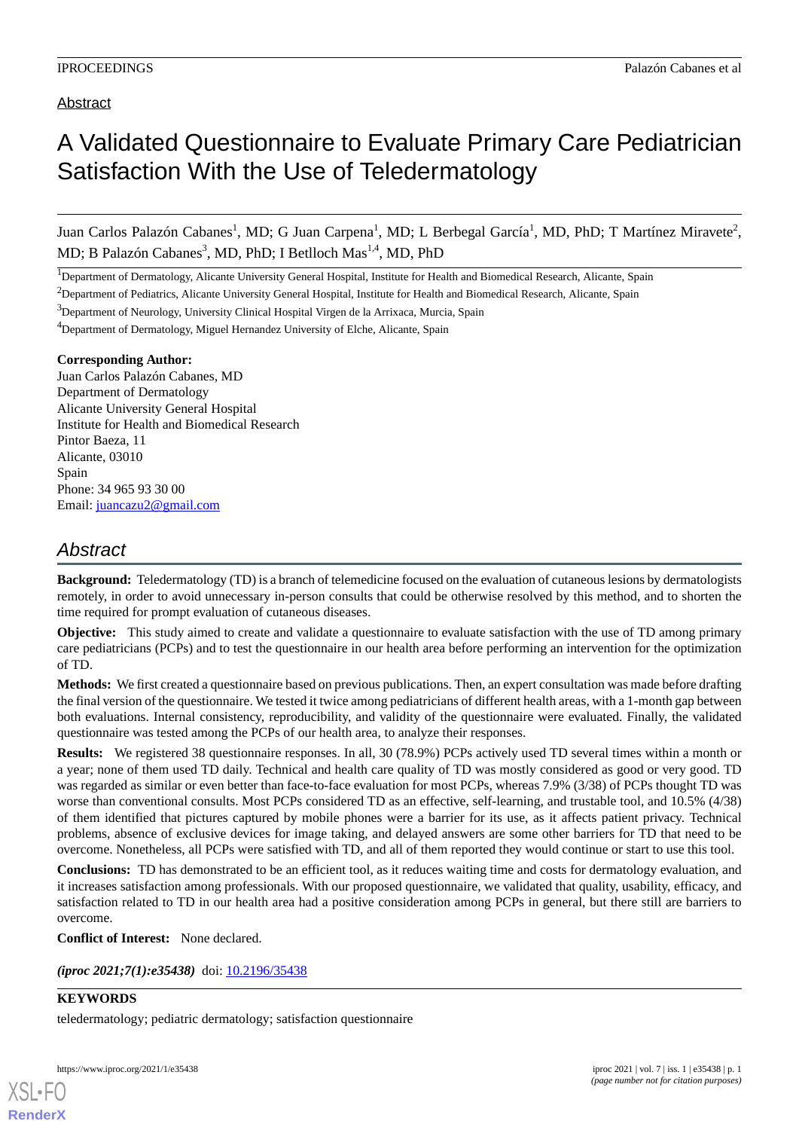### Abstract

# A Validated Questionnaire to Evaluate Primary Care Pediatrician Satisfaction With the Use of Teledermatology

Juan Carlos Palazón Cabanes<sup>1</sup>, MD; G Juan Carpena<sup>1</sup>, MD; L Berbegal García<sup>1</sup>, MD, PhD; T Martínez Miravete<sup>2</sup>, MD; B Palazón Cabanes<sup>3</sup>, MD, PhD; I Betlloch Mas<sup>1,4</sup>, MD, PhD

<sup>1</sup>Department of Dermatology, Alicante University General Hospital, Institute for Health and Biomedical Research, Alicante, Spain

 $2$ Department of Pediatrics, Alicante University General Hospital, Institute for Health and Biomedical Research, Alicante, Spain

<sup>3</sup>Department of Neurology, University Clinical Hospital Virgen de la Arrixaca, Murcia, Spain

<sup>4</sup>Department of Dermatology, Miguel Hernandez University of Elche, Alicante, Spain

#### **Corresponding Author:**

Juan Carlos Palazón Cabanes, MD Department of Dermatology Alicante University General Hospital Institute for Health and Biomedical Research Pintor Baeza, 11 Alicante, 03010 Spain Phone: 34 965 93 30 00 Email: [juancazu2@gmail.com](mailto:juancazu2@gmail.com)

## *Abstract*

**Background:** Teledermatology (TD) is a branch of telemedicine focused on the evaluation of cutaneous lesions by dermatologists remotely, in order to avoid unnecessary in-person consults that could be otherwise resolved by this method, and to shorten the time required for prompt evaluation of cutaneous diseases.

**Objective:** This study aimed to create and validate a questionnaire to evaluate satisfaction with the use of TD among primary care pediatricians (PCPs) and to test the questionnaire in our health area before performing an intervention for the optimization of TD.

**Methods:** We first created a questionnaire based on previous publications. Then, an expert consultation was made before drafting the final version of the questionnaire. We tested it twice among pediatricians of different health areas, with a 1-month gap between both evaluations. Internal consistency, reproducibility, and validity of the questionnaire were evaluated. Finally, the validated questionnaire was tested among the PCPs of our health area, to analyze their responses.

**Results:** We registered 38 questionnaire responses. In all, 30 (78.9%) PCPs actively used TD several times within a month or a year; none of them used TD daily. Technical and health care quality of TD was mostly considered as good or very good. TD was regarded as similar or even better than face-to-face evaluation for most PCPs, whereas 7.9% (3/38) of PCPs thought TD was worse than conventional consults. Most PCPs considered TD as an effective, self-learning, and trustable tool, and 10.5% (4/38) of them identified that pictures captured by mobile phones were a barrier for its use, as it affects patient privacy. Technical problems, absence of exclusive devices for image taking, and delayed answers are some other barriers for TD that need to be overcome. Nonetheless, all PCPs were satisfied with TD, and all of them reported they would continue or start to use this tool.

**Conclusions:** TD has demonstrated to be an efficient tool, as it reduces waiting time and costs for dermatology evaluation, and it increases satisfaction among professionals. With our proposed questionnaire, we validated that quality, usability, efficacy, and satisfaction related to TD in our health area had a positive consideration among PCPs in general, but there still are barriers to overcome.

**Conflict of Interest:** None declared.

*(iproc 2021;7(1):e35438)* doi: [10.2196/35438](http://dx.doi.org/10.2196/35438)

#### **KEYWORDS**

teledermatology; pediatric dermatology; satisfaction questionnaire



[XSL](http://www.w3.org/Style/XSL)•FO **[RenderX](http://www.renderx.com/)**